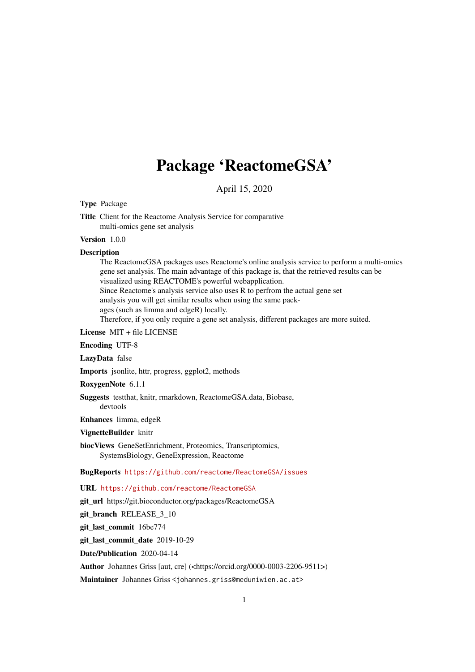## Package 'ReactomeGSA'

April 15, 2020

<span id="page-0-0"></span>Type Package

Title Client for the Reactome Analysis Service for comparative multi-omics gene set analysis

Version 1.0.0

#### Description

The ReactomeGSA packages uses Reactome's online analysis service to perform a multi-omics gene set analysis. The main advantage of this package is, that the retrieved results can be visualized using REACTOME's powerful webapplication. Since Reactome's analysis service also uses R to perfrom the actual gene set analysis you will get similar results when using the same packages (such as limma and edgeR) locally. Therefore, if you only require a gene set analysis, different packages are more suited.

License MIT + file LICENSE

Encoding UTF-8

LazyData false

Imports jsonlite, httr, progress, ggplot2, methods

RoxygenNote 6.1.1

Suggests testthat, knitr, rmarkdown, ReactomeGSA.data, Biobase, devtools

Enhances limma, edgeR

VignetteBuilder knitr

biocViews GeneSetEnrichment, Proteomics, Transcriptomics, SystemsBiology, GeneExpression, Reactome

BugReports <https://github.com/reactome/ReactomeGSA/issues>

URL <https://github.com/reactome/ReactomeGSA>

git\_url https://git.bioconductor.org/packages/ReactomeGSA

git\_branch RELEASE\_3\_10

git\_last\_commit 16be774

git last commit date 2019-10-29

Date/Publication 2020-04-14

Author Johannes Griss [aut, cre] (<https://orcid.org/0000-0003-2206-9511>)

Maintainer Johannes Griss <johannes.griss@meduniwien.ac.at>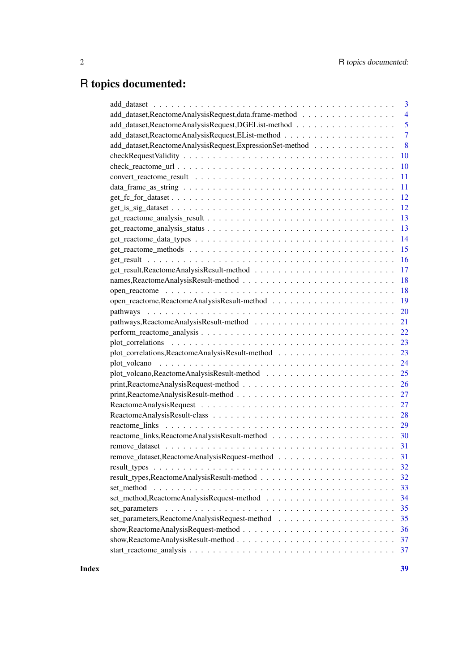## R topics documented:

|                                                          | 3              |
|----------------------------------------------------------|----------------|
| add_dataset,ReactomeAnalysisRequest,data.frame-method    | $\overline{4}$ |
| add_dataset,ReactomeAnalysisRequest,DGEList-method       | 5              |
|                                                          | $\overline{7}$ |
| add_dataset,ReactomeAnalysisRequest,ExpressionSet-method | 8              |
|                                                          | 10             |
|                                                          | 10             |
|                                                          | 11             |
|                                                          | 11             |
|                                                          | 12             |
|                                                          | 12             |
|                                                          | 13             |
|                                                          | 13             |
|                                                          | 14             |
|                                                          | 15             |
|                                                          | 16             |
|                                                          | 17             |
|                                                          | 18             |
|                                                          | 18             |
|                                                          | 19             |
|                                                          | 20             |
|                                                          | 21             |
|                                                          | 22             |
|                                                          | 23             |
|                                                          | 23             |
|                                                          | 24             |
|                                                          | 25             |
|                                                          | 26             |
|                                                          | 27             |
|                                                          | 27             |
|                                                          | 28             |
|                                                          | 29             |
|                                                          | 30             |
|                                                          | 31             |
|                                                          | 31             |
|                                                          | 32             |
|                                                          | 32             |
|                                                          | 33             |
|                                                          | 34             |
| set_parameters                                           | 35             |
|                                                          | 35             |
|                                                          | 36             |
|                                                          | 37             |
|                                                          | 37             |
|                                                          |                |

**Index** [39](#page-38-0)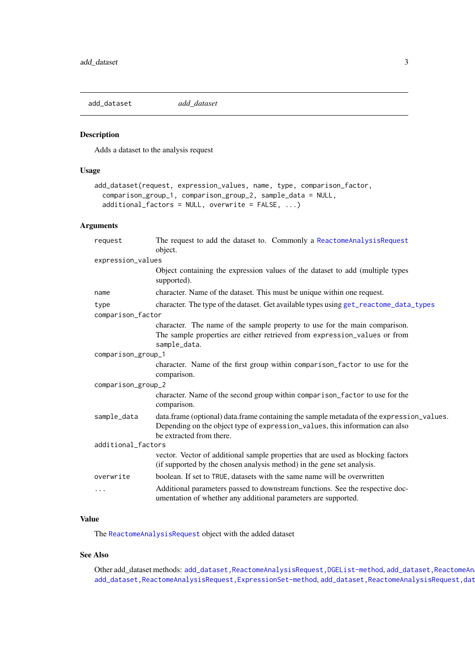<span id="page-2-1"></span><span id="page-2-0"></span>add\_dataset *add\_dataset*

## Description

Adds a dataset to the analysis request

## Usage

```
add_dataset(request, expression_values, name, type, comparison_factor,
 comparison_group_1, comparison_group_2, sample_data = NULL,
 additional_factors = NULL, overwrite = FALSE, ...)
```
## Arguments

| request            | The request to add the dataset to. Commonly a ReactomeAnalysisRequest<br>object.                                                                                                                      |  |
|--------------------|-------------------------------------------------------------------------------------------------------------------------------------------------------------------------------------------------------|--|
| expression_values  |                                                                                                                                                                                                       |  |
|                    | Object containing the expression values of the dataset to add (multiple types<br>supported).                                                                                                          |  |
| name               | character. Name of the dataset. This must be unique within one request.                                                                                                                               |  |
| type               | character. The type of the dataset. Get available types using get_reactome_data_types                                                                                                                 |  |
| comparison_factor  |                                                                                                                                                                                                       |  |
|                    | character. The name of the sample property to use for the main comparison.<br>The sample properties are either retrieved from expression_values or from<br>sample_data.                               |  |
| comparison_group_1 |                                                                                                                                                                                                       |  |
|                    | character. Name of the first group within comparison_factor to use for the<br>comparison.                                                                                                             |  |
| comparison_group_2 |                                                                                                                                                                                                       |  |
|                    | character. Name of the second group within comparison_factor to use for the<br>comparison.                                                                                                            |  |
| sample_data        | data.frame (optional) data.frame containing the sample metadata of the expression_values.<br>Depending on the object type of expression_values, this information can also<br>be extracted from there. |  |
| additional_factors |                                                                                                                                                                                                       |  |
|                    | vector. Vector of additional sample properties that are used as blocking factors<br>(if supported by the chosen analysis method) in the gene set analysis.                                            |  |
| overwrite          | boolean. If set to TRUE, datasets with the same name will be overwritten                                                                                                                              |  |
| .                  | Additional parameters passed to downstream functions. See the respective doc-<br>umentation of whether any additional parameters are supported.                                                       |  |

## Value

The [ReactomeAnalysisRequest](#page-26-1) object with the added dataset

## See Also

Other add\_dataset methods: [add\\_dataset,ReactomeAnalysisRequest,DGEList-method](#page-0-0),add\_dataset,ReactomeAn [add\\_dataset,ReactomeAnalysisRequest,ExpressionSet-method](#page-0-0),add\_dataset,ReactomeAnalysisRequest,dat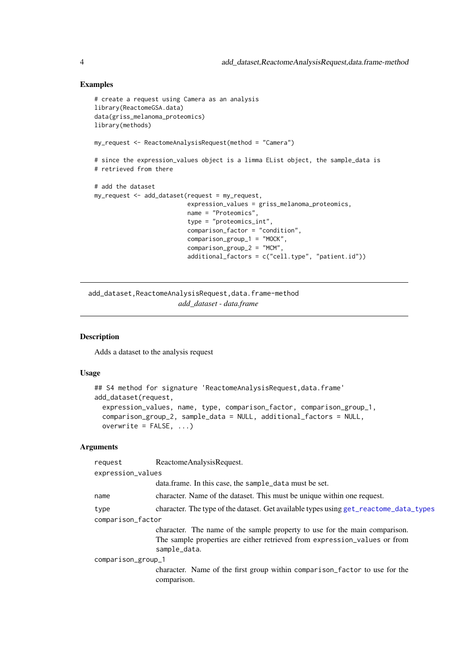## Examples

```
# create a request using Camera as an analysis
library(ReactomeGSA.data)
data(griss_melanoma_proteomics)
library(methods)
my_request <- ReactomeAnalysisRequest(method = "Camera")
# since the expression_values object is a limma EList object, the sample_data is
# retrieved from there
# add the dataset
my_request <- add_dataset(request = my_request,
                         expression_values = griss_melanoma_proteomics,
                         name = "Proteomics",
                          type = "proteomics_int",
                          comparison_factor = "condition",
                          comparison_group_1 = "MOCK",
                          comparison_group_2 = "MCM",
                          additional_factors = c("cell.type", "patient.id"))
```
add\_dataset,ReactomeAnalysisRequest,data.frame-method *add\_dataset - data.frame*

## Description

Adds a dataset to the analysis request

#### Usage

```
## S4 method for signature 'ReactomeAnalysisRequest, data.frame'
add_dataset(request,
 expression_values, name, type, comparison_factor, comparison_group_1,
  comparison_group_2, sample_data = NULL, additional_factors = NULL,
 overwrite = FALSE, ...)
```
#### Arguments

| request            | ReactomeAnalysisRequest.                                                                                                                                                |  |
|--------------------|-------------------------------------------------------------------------------------------------------------------------------------------------------------------------|--|
| expression_values  |                                                                                                                                                                         |  |
|                    | data.frame. In this case, the sample_data must be set.                                                                                                                  |  |
| name               | character. Name of the dataset. This must be unique within one request.                                                                                                 |  |
| type               | character. The type of the dataset. Get available types using get_reactome_data_types                                                                                   |  |
| comparison_factor  |                                                                                                                                                                         |  |
|                    | character. The name of the sample property to use for the main comparison.<br>The sample properties are either retrieved from expression_values or from<br>sample_data. |  |
| comparison_group_1 |                                                                                                                                                                         |  |
|                    | character. Name of the first group within comparison_factor to use for the<br>comparison.                                                                               |  |

<span id="page-3-0"></span>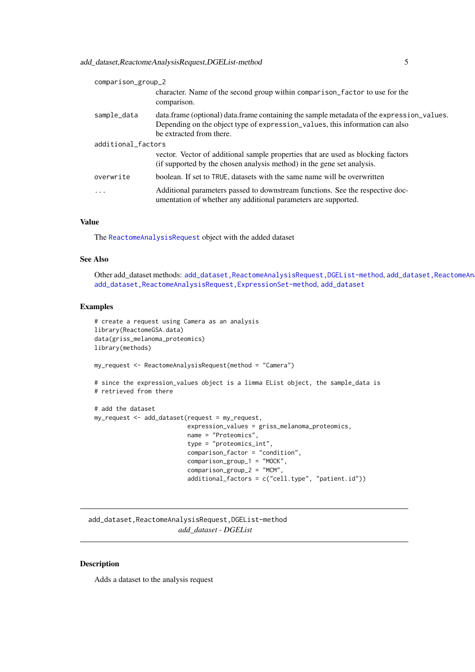<span id="page-4-0"></span>add\_dataset,ReactomeAnalysisRequest,DGEList-method 5

| comparison_group_2 |                                                                                                                                                                                                       |  |
|--------------------|-------------------------------------------------------------------------------------------------------------------------------------------------------------------------------------------------------|--|
|                    | character. Name of the second group within comparison factor to use for the<br>comparison.                                                                                                            |  |
| sample_data        | data.frame (optional) data.frame containing the sample metadata of the expression_values.<br>Depending on the object type of expression_values, this information can also<br>be extracted from there. |  |
| additional_factors |                                                                                                                                                                                                       |  |
|                    | vector. Vector of additional sample properties that are used as blocking factors<br>(if supported by the chosen analysis method) in the gene set analysis.                                            |  |
| overwrite          | boolean. If set to TRUE, datasets with the same name will be overwritten                                                                                                                              |  |
| $\ddotsc$          | Additional parameters passed to downstream functions. See the respective doc-<br>umentation of whether any additional parameters are supported.                                                       |  |

## Value

The [ReactomeAnalysisRequest](#page-26-1) object with the added dataset

## See Also

Other add\_dataset methods: [add\\_dataset,ReactomeAnalysisRequest,DGEList-method](#page-0-0),add\_dataset,ReactomeAn [add\\_dataset,ReactomeAnalysisRequest,ExpressionSet-method](#page-0-0), [add\\_dataset](#page-2-1)

#### Examples

```
# create a request using Camera as an analysis
library(ReactomeGSA.data)
data(griss_melanoma_proteomics)
library(methods)
```
my\_request <- ReactomeAnalysisRequest(method = "Camera")

```
# since the expression_values object is a limma EList object, the sample_data is
# retrieved from there
```

```
# add the dataset
my_request <- add_dataset(request = my_request,
                          expression_values = griss_melanoma_proteomics,
                          name = "Proteomics",
                          type = "proteomics_int",
                          comparison_factor = "condition",
                          comparison_group_1 = "MOCK",
                          comparison\_group_2 = "MCM",additional_factors = c("cell.type", "patient.id"))
```
add\_dataset,ReactomeAnalysisRequest,DGEList-method *add\_dataset - DGEList*

## Description

Adds a dataset to the analysis request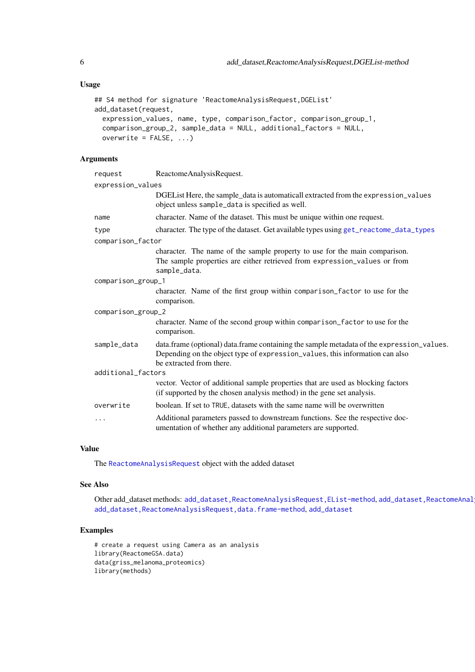## Usage

```
## S4 method for signature 'ReactomeAnalysisRequest,DGEList'
add_dataset(request,
 expression_values, name, type, comparison_factor, comparison_group_1,
 comparison_group_2, sample_data = NULL, additional_factors = NULL,
 overwrite = FALSE, ...)
```
## Arguments

| request            | ReactomeAnalysisRequest.                                                                                                                                                                              |  |
|--------------------|-------------------------------------------------------------------------------------------------------------------------------------------------------------------------------------------------------|--|
| expression_values  |                                                                                                                                                                                                       |  |
|                    | DGE List Here, the sample_data is automaticall extracted from the expression_values<br>object unless sample_data is specified as well.                                                                |  |
| name               | character. Name of the dataset. This must be unique within one request.                                                                                                                               |  |
| type               | character. The type of the dataset. Get available types using get_reactome_data_types                                                                                                                 |  |
| comparison_factor  |                                                                                                                                                                                                       |  |
|                    | character. The name of the sample property to use for the main comparison.                                                                                                                            |  |
|                    | The sample properties are either retrieved from expression_values or from<br>sample_data.                                                                                                             |  |
| comparison_group_1 |                                                                                                                                                                                                       |  |
|                    | character. Name of the first group within comparison_factor to use for the                                                                                                                            |  |
|                    | comparison.                                                                                                                                                                                           |  |
| comparison_group_2 |                                                                                                                                                                                                       |  |
|                    | character. Name of the second group within comparison_factor to use for the<br>comparison.                                                                                                            |  |
| sample_data        | data.frame (optional) data.frame containing the sample metadata of the expression_values.<br>Depending on the object type of expression_values, this information can also<br>be extracted from there. |  |
| additional_factors |                                                                                                                                                                                                       |  |
|                    | vector. Vector of additional sample properties that are used as blocking factors<br>(if supported by the chosen analysis method) in the gene set analysis.                                            |  |
| overwrite          | boolean. If set to TRUE, datasets with the same name will be overwritten                                                                                                                              |  |
| .                  | Additional parameters passed to downstream functions. See the respective doc-<br>umentation of whether any additional parameters are supported.                                                       |  |

## Value

The [ReactomeAnalysisRequest](#page-26-1) object with the added dataset

## See Also

Other add\_dataset methods: [add\\_dataset,ReactomeAnalysisRequest,EList-method](#page-0-0),add\_dataset,ReactomeAnal [add\\_dataset,ReactomeAnalysisRequest,data.frame-method](#page-0-0), [add\\_dataset](#page-2-1)

## Examples

```
# create a request using Camera as an analysis
library(ReactomeGSA.data)
data(griss_melanoma_proteomics)
library(methods)
```
<span id="page-5-0"></span>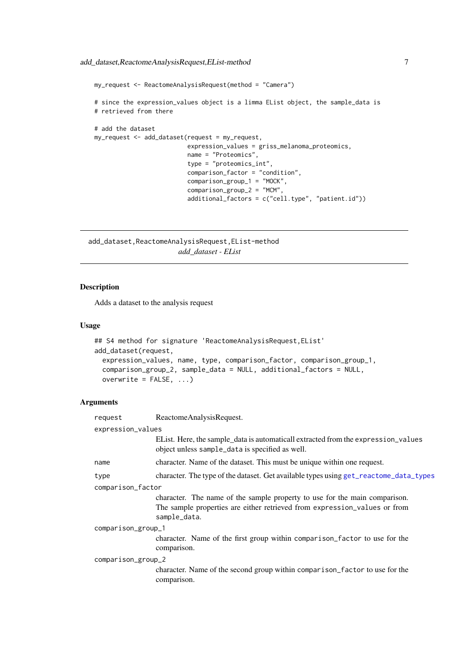```
my_request <- ReactomeAnalysisRequest(method = "Camera")
# since the expression_values object is a limma EList object, the sample_data is
# retrieved from there
# add the dataset
my_request <- add_dataset(request = my_request,
                          expression_values = griss_melanoma_proteomics,
                         name = "Proteomics",
                          type = "proteomics_int",
                          comparison_factor = "condition",
                          comparison_group_1 = "MOCK",
                          comparison_group_2 = "MCM",
                          additional_factors = c("cell.type", "patient.id"))
```
add\_dataset,ReactomeAnalysisRequest,EList-method *add\_dataset - EList*

## Description

Adds a dataset to the analysis request

## Usage

```
## S4 method for signature 'ReactomeAnalysisRequest, EList'
add_dataset(request,
 expression_values, name, type, comparison_factor, comparison_group_1,
 comparison_group_2, sample_data = NULL, additional_factors = NULL,
 overwrite = FALSE, ...)
```
#### Arguments

| request            | ReactomeAnalysisRequest.                                                                                                                                                |  |
|--------------------|-------------------------------------------------------------------------------------------------------------------------------------------------------------------------|--|
| expression_values  |                                                                                                                                                                         |  |
|                    | EList. Here, the sample_data is automaticall extracted from the expression_values<br>object unless sample_data is specified as well.                                    |  |
| name               | character. Name of the dataset. This must be unique within one request.                                                                                                 |  |
| type               | character. The type of the dataset. Get available types using get_reactome_data_types                                                                                   |  |
| comparison_factor  |                                                                                                                                                                         |  |
|                    | character. The name of the sample property to use for the main comparison.<br>The sample properties are either retrieved from expression_values or from<br>sample_data. |  |
| comparison_group_1 |                                                                                                                                                                         |  |
|                    | character. Name of the first group within comparison_factor to use for the<br>comparison.                                                                               |  |
| comparison_group_2 |                                                                                                                                                                         |  |
|                    | character. Name of the second group within comparison_factor to use for the<br>comparison.                                                                              |  |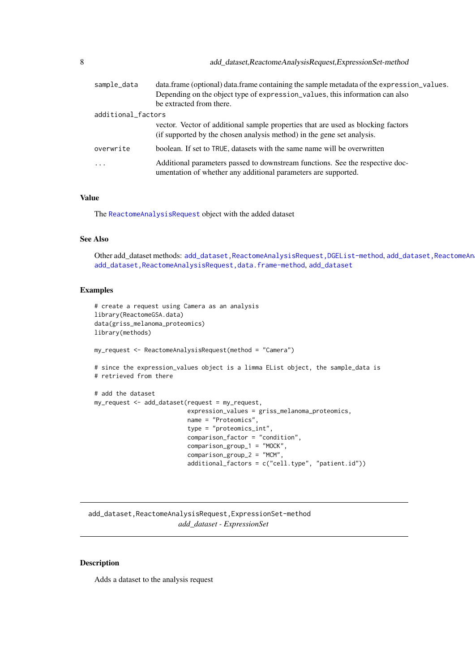<span id="page-7-0"></span>

| 8                  | add_dataset,ReactomeAnalysisRequest,ExpressionSet-method |                                                                                                                                                                                                       |
|--------------------|----------------------------------------------------------|-------------------------------------------------------------------------------------------------------------------------------------------------------------------------------------------------------|
|                    | sample_data                                              | data.frame (optional) data.frame containing the sample metadata of the expression_values.<br>Depending on the object type of expression_values, this information can also<br>be extracted from there. |
| additional_factors |                                                          |                                                                                                                                                                                                       |
|                    |                                                          | vector. Vector of additional sample properties that are used as blocking factors<br>(if supported by the chosen analysis method) in the gene set analysis.                                            |
|                    | overwrite                                                | boolean. If set to TRUE, datasets with the same name will be overwritten                                                                                                                              |
|                    | $\cdots$                                                 | Additional parameters passed to downstream functions. See the respective doc-<br>umentation of whether any additional parameters are supported.                                                       |

## Value

The [ReactomeAnalysisRequest](#page-26-1) object with the added dataset

#### See Also

Other add dataset methods: [add\\_dataset,ReactomeAnalysisRequest,DGEList-method](#page-0-0),add\_dataset,ReactomeAn [add\\_dataset](#page-2-1), ReactomeAnalysisRequest, data.frame-method, add\_dataset

#### Examples

```
# create a request using Camera as an analysis
library(ReactomeGSA.data)
data(griss_melanoma_proteomics)
library(methods)
my_request <- ReactomeAnalysisRequest(method = "Camera")
# since the expression_values object is a limma EList object, the sample_data is
# retrieved from there
# add the dataset
my_request <- add_dataset(request = my_request,
                          expression_values = griss_melanoma_proteomics,
                          name = "Proteomics",
                          type = "proteomics_int",
                          comparison_factor = "condition",
                          comparison_group_1 = "MOCK",
                          comparison_group_2 = "MCM",
                          additional_factors = c("cell.type", "patient.id"))
```
add\_dataset,ReactomeAnalysisRequest,ExpressionSet-method *add\_dataset - ExpressionSet*

## Description

Adds a dataset to the analysis request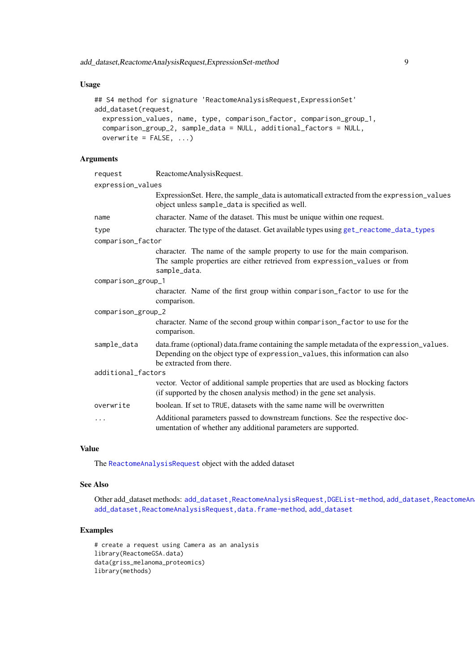<span id="page-8-0"></span>add\_dataset,ReactomeAnalysisRequest,ExpressionSet-method 9

## Usage

```
## S4 method for signature 'ReactomeAnalysisRequest, ExpressionSet'
add_dataset(request,
 expression_values, name, type, comparison_factor, comparison_group_1,
 comparison_group_2, sample_data = NULL, additional_factors = NULL,
 overwrite = FALSE, ...)
```
## Arguments

| request            | ReactomeAnalysisRequest.                                                                                                                                                                              |  |
|--------------------|-------------------------------------------------------------------------------------------------------------------------------------------------------------------------------------------------------|--|
| expression_values  |                                                                                                                                                                                                       |  |
|                    | ExpressionSet. Here, the sample_data is automaticall extracted from the expression_values<br>object unless sample_data is specified as well.                                                          |  |
| name               | character. Name of the dataset. This must be unique within one request.                                                                                                                               |  |
| type               | character. The type of the dataset. Get available types using get_reactome_data_types                                                                                                                 |  |
| comparison_factor  |                                                                                                                                                                                                       |  |
|                    | character. The name of the sample property to use for the main comparison.<br>The sample properties are either retrieved from expression_values or from<br>sample_data.                               |  |
| comparison_group_1 |                                                                                                                                                                                                       |  |
|                    | character. Name of the first group within comparison_factor to use for the<br>comparison.                                                                                                             |  |
| comparison_group_2 |                                                                                                                                                                                                       |  |
|                    | character. Name of the second group within comparison_factor to use for the<br>comparison.                                                                                                            |  |
| sample_data        | data.frame (optional) data.frame containing the sample metadata of the expression_values.<br>Depending on the object type of expression_values, this information can also<br>be extracted from there. |  |
| additional_factors |                                                                                                                                                                                                       |  |
|                    | vector. Vector of additional sample properties that are used as blocking factors<br>(if supported by the chosen analysis method) in the gene set analysis.                                            |  |
| overwrite          | boolean. If set to TRUE, datasets with the same name will be overwritten                                                                                                                              |  |
| .                  | Additional parameters passed to downstream functions. See the respective doc-<br>umentation of whether any additional parameters are supported.                                                       |  |

## Value

The [ReactomeAnalysisRequest](#page-26-1) object with the added dataset

## See Also

Other add\_dataset methods: [add\\_dataset,ReactomeAnalysisRequest,DGEList-method](#page-0-0), add\_dataset,ReactomeAn [add\\_dataset,ReactomeAnalysisRequest,data.frame-method](#page-0-0), [add\\_dataset](#page-2-1)

## Examples

```
# create a request using Camera as an analysis
library(ReactomeGSA.data)
data(griss_melanoma_proteomics)
library(methods)
```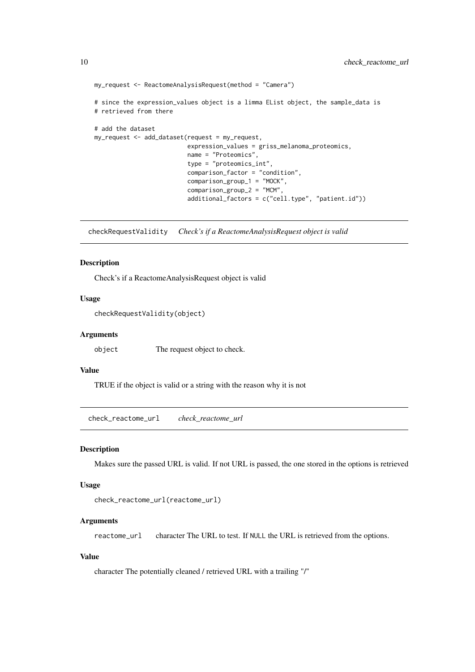```
my_request <- ReactomeAnalysisRequest(method = "Camera")
# since the expression_values object is a limma EList object, the sample_data is
# retrieved from there
# add the dataset
my_request <- add_dataset(request = my_request,
                          expression_values = griss_melanoma_proteomics,
                          name = "Proteomics",
                          type = "proteomics int".
                          comparison_factor = "condition",
                          comparison_group_1 = "MOCK",
                          comparison_group_2 = "MCM",
                          additional_factors = c("cell.type", "patient.id"))
```
checkRequestValidity *Check's if a ReactomeAnalysisRequest object is valid*

#### Description

Check's if a ReactomeAnalysisRequest object is valid

## Usage

checkRequestValidity(object)

#### Arguments

object The request object to check.

## Value

TRUE if the object is valid or a string with the reason why it is not

check\_reactome\_url *check\_reactome\_url*

## Description

Makes sure the passed URL is valid. If not URL is passed, the one stored in the options is retrieved

#### Usage

```
check_reactome_url(reactome_url)
```
## Arguments

reactome\_url character The URL to test. If NULL the URL is retrieved from the options.

## Value

character The potentially cleaned / retrieved URL with a trailing "/"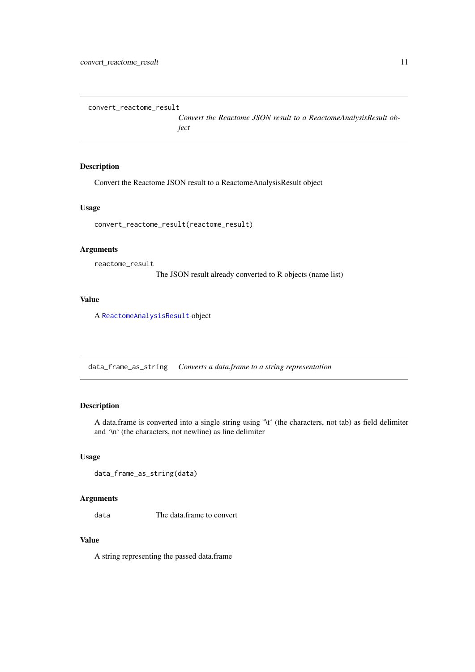<span id="page-10-0"></span>convert\_reactome\_result

*Convert the Reactome JSON result to a ReactomeAnalysisResult object*

## Description

Convert the Reactome JSON result to a ReactomeAnalysisResult object

## Usage

convert\_reactome\_result(reactome\_result)

## Arguments

```
reactome_result
```
The JSON result already converted to R objects (name list)

## Value

A [ReactomeAnalysisResult](#page-27-1) object

data\_frame\_as\_string *Converts a data.frame to a string representation*

## Description

A data.frame is converted into a single string using '\t' (the characters, not tab) as field delimiter and '\n' (the characters, not newline) as line delimiter

#### Usage

```
data_frame_as_string(data)
```
## Arguments

data The data.frame to convert

## Value

A string representing the passed data.frame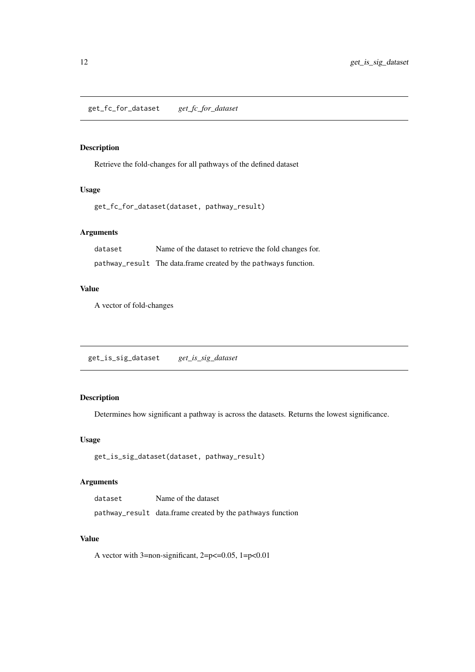<span id="page-11-0"></span>get\_fc\_for\_dataset *get\_fc\_for\_dataset*

## Description

Retrieve the fold-changes for all pathways of the defined dataset

## Usage

```
get_fc_for_dataset(dataset, pathway_result)
```
## Arguments

dataset Name of the dataset to retrieve the fold changes for. pathway\_result The data.frame created by the pathways function.

## Value

A vector of fold-changes

get\_is\_sig\_dataset *get\_is\_sig\_dataset*

## Description

Determines how significant a pathway is across the datasets. Returns the lowest significance.

## Usage

```
get_is_sig_dataset(dataset, pathway_result)
```
## Arguments

| dataset | Name of the dataset                                        |
|---------|------------------------------------------------------------|
|         | pathway_result data.frame created by the pathways function |

## Value

A vector with  $3=$ non-significant,  $2=p\leq0.05$ ,  $1=p\leq0.01$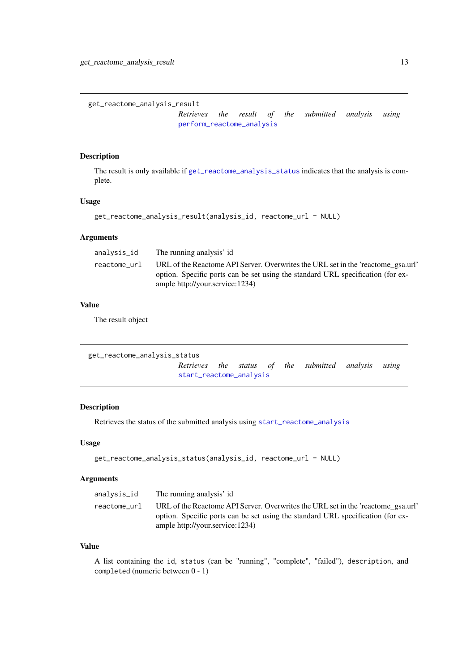<span id="page-12-2"></span><span id="page-12-0"></span>get\_reactome\_analysis\_result

*Retrieves the result of the submitted analysis using* [perform\\_reactome\\_analysis](#page-21-1)

## Description

The result is only available if [get\\_reactome\\_analysis\\_status](#page-12-1) indicates that the analysis is complete.

## Usage

```
get_reactome_analysis_result(analysis_id, reactome_url = NULL)
```
#### Arguments

| analysis_id  | The running analysis' id                                                                                                                                                                               |
|--------------|--------------------------------------------------------------------------------------------------------------------------------------------------------------------------------------------------------|
| reactome url | URL of the Reactome API Server. Overwrites the URL set in the 'reactome gsa.url'<br>option. Specific ports can be set using the standard URL specification (for ex-<br>ample http://your.service:1234) |

## Value

The result object

```
get_reactome_analysis_status
                      Retrieves the status of the submitted analysis using
                      start_reactome_analysis
```
## Description

Retrieves the status of the submitted analysis using [start\\_reactome\\_analysis](#page-36-1)

#### Usage

```
get_reactome_analysis_status(analysis_id, reactome_url = NULL)
```
#### Arguments

| analysis_id<br>The running analysis' id                                                                                                                                                                                |  |
|------------------------------------------------------------------------------------------------------------------------------------------------------------------------------------------------------------------------|--|
| URL of the Reactome API Server. Overwrites the URL set in the 'reactome gsa.url'<br>reactome url<br>option. Specific ports can be set using the standard URL specification (for ex-<br>ample http://your.service:1234) |  |

## Value

A list containing the id, status (can be "running", "complete", "failed"), description, and completed (numeric between 0 - 1)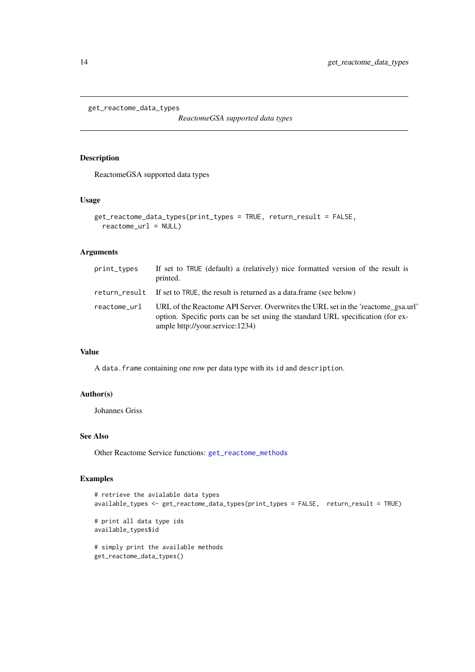<span id="page-13-1"></span><span id="page-13-0"></span>get\_reactome\_data\_types

*ReactomeGSA supported data types*

## Description

ReactomeGSA supported data types

## Usage

```
get_reactome_data_types(print_types = TRUE, return_result = FALSE,
  reactome_url = NULL)
```
## Arguments

| print_types  | If set to TRUE (default) a (relatively) nice formatted version of the result is<br>printed.                                                                                                            |
|--------------|--------------------------------------------------------------------------------------------------------------------------------------------------------------------------------------------------------|
|              | return_result If set to TRUE, the result is returned as a data.frame (see below)                                                                                                                       |
| reactome url | URL of the Reactome API Server. Overwrites the URL set in the 'reactome_gsa.url'<br>option. Specific ports can be set using the standard URL specification (for ex-<br>ample http://your.service:1234) |

#### Value

A data.frame containing one row per data type with its id and description.

## Author(s)

Johannes Griss

## See Also

Other Reactome Service functions: [get\\_reactome\\_methods](#page-14-1)

## Examples

```
# retrieve the avialable data types
available_types <- get_reactome_data_types(print_types = FALSE, return_result = TRUE)
# print all data type ids
available_types$id
# simply print the available methods
get_reactome_data_types()
```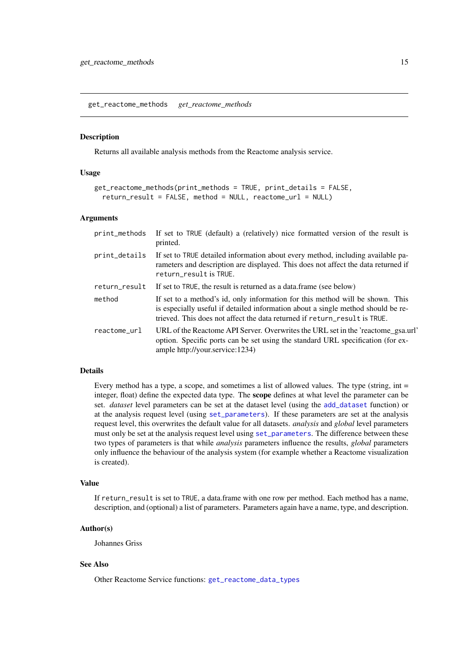<span id="page-14-1"></span><span id="page-14-0"></span>get\_reactome\_methods *get\_reactome\_methods*

#### Description

Returns all available analysis methods from the Reactome analysis service.

## Usage

```
get_reactome_methods(print_methods = TRUE, print_details = FALSE,
 return_result = FALSE, method = NULL, reactome_url = NULL)
```
#### Arguments

| print_methods | If set to TRUE (default) a (relatively) nice formatted version of the result is<br>printed.                                                                                                                                                    |
|---------------|------------------------------------------------------------------------------------------------------------------------------------------------------------------------------------------------------------------------------------------------|
| print_details | If set to TRUE detailed information about every method, including available pa-<br>rameters and description are displayed. This does not affect the data returned if<br>return_result is TRUE.                                                 |
| return_result | If set to TRUE, the result is returned as a data frame (see below)                                                                                                                                                                             |
| method        | If set to a method's id, only information for this method will be shown. This<br>is especially useful if detailed information about a single method should be re-<br>trieved. This does not affect the data returned if return result is TRUE. |
| reactome_url  | URL of the Reactome API Server. Overwrites the URL set in the 'reactome_gsa.url'<br>option. Specific ports can be set using the standard URL specification (for ex-<br>ample http://your.service:1234)                                         |

## Details

Every method has a type, a scope, and sometimes a list of allowed values. The type (string, int = integer, float) define the expected data type. The scope defines at what level the parameter can be set. *dataset* level parameters can be set at the dataset level (using the [add\\_dataset](#page-2-1) function) or at the analysis request level (using [set\\_parameters](#page-34-1)). If these parameters are set at the analysis request level, this overwrites the default value for all datasets. *analysis* and *global* level parameters must only be set at the analysis request level using [set\\_parameters](#page-34-1). The difference between these two types of parameters is that while *analysis* parameters influence the results, *global* parameters only influence the behaviour of the analysis system (for example whether a Reactome visualization is created).

#### Value

If return\_result is set to TRUE, a data.frame with one row per method. Each method has a name, description, and (optional) a list of parameters. Parameters again have a name, type, and description.

## Author(s)

Johannes Griss

## See Also

Other Reactome Service functions: [get\\_reactome\\_data\\_types](#page-13-1)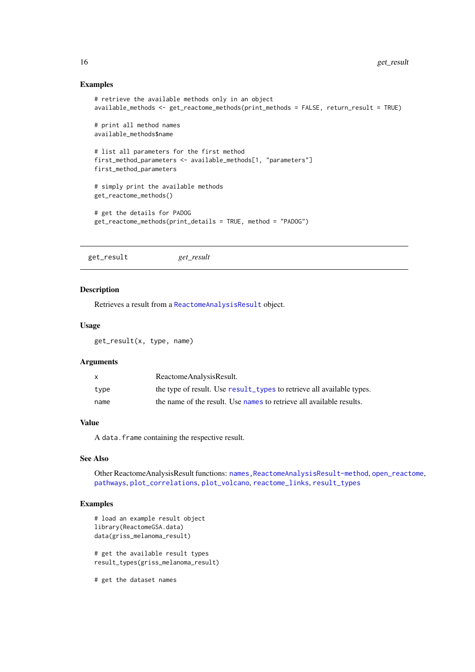## <span id="page-15-0"></span>Examples

```
# retrieve the available methods only in an object
available_methods <- get_reactome_methods(print_methods = FALSE, return_result = TRUE)
# print all method names
available_methods$name
# list all parameters for the first method
first_method_parameters <- available_methods[1, "parameters"]
first_method_parameters
# simply print the available methods
get_reactome_methods()
# get the details for PADOG
get_reactome_methods(print_details = TRUE, method = "PADOG")
```
<span id="page-15-1"></span>get\_result *get\_result*

#### Description

Retrieves a result from a [ReactomeAnalysisResult](#page-27-1) object.

#### Usage

get\_result(x, type, name)

## Arguments

| X    | ReactomeAnalysisResult.                                               |
|------|-----------------------------------------------------------------------|
| tvpe | the type of result. Use result_types to retrieve all available types. |
| name | the name of the result. Use names to retrieve all available results.  |

## Value

A data.frame containing the respective result.

#### See Also

Other ReactomeAnalysisResult functions: [names,ReactomeAnalysisResult-method](#page-0-0), [open\\_reactome](#page-17-1), [pathways](#page-19-1), [plot\\_correlations](#page-22-1), [plot\\_volcano](#page-23-1), [reactome\\_links](#page-28-1), [result\\_types](#page-31-1)

## Examples

```
# load an example result object
library(ReactomeGSA.data)
data(griss_melanoma_result)
# get the available result types
```
result\_types(griss\_melanoma\_result)

# get the dataset names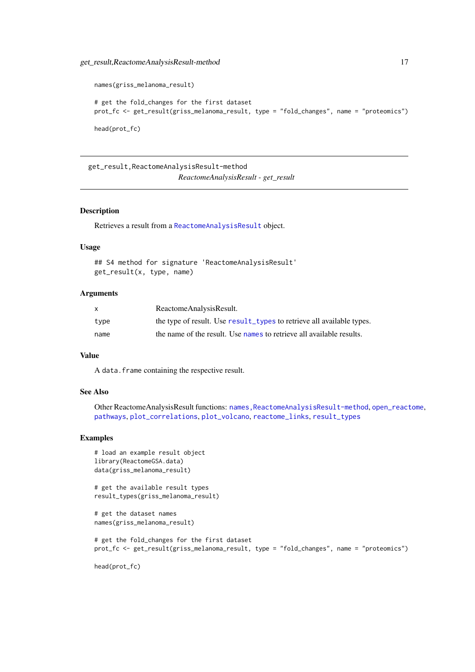```
names(griss_melanoma_result)
# get the fold_changes for the first dataset
prot_fc <- get_result(griss_melanoma_result, type = "fold_changes", name = "proteomics")
head(prot_fc)
```
get\_result,ReactomeAnalysisResult-method *ReactomeAnalysisResult - get\_result*

## Description

Retrieves a result from a [ReactomeAnalysisResult](#page-27-1) object.

#### Usage

```
## S4 method for signature 'ReactomeAnalysisResult'
get_result(x, type, name)
```
## Arguments

| $\mathsf{x}$ | ReactomeAnalysisResult.                                               |
|--------------|-----------------------------------------------------------------------|
| type         | the type of result. Use result_types to retrieve all available types. |
| name         | the name of the result. Use names to retrieve all available results.  |

## Value

A data.frame containing the respective result.

#### See Also

Other ReactomeAnalysisResult functions: [names,ReactomeAnalysisResult-method](#page-0-0), [open\\_reactome](#page-17-1), [pathways](#page-19-1), [plot\\_correlations](#page-22-1), [plot\\_volcano](#page-23-1), [reactome\\_links](#page-28-1), [result\\_types](#page-31-1)

## Examples

```
# load an example result object
library(ReactomeGSA.data)
data(griss_melanoma_result)
```
# get the available result types result\_types(griss\_melanoma\_result)

```
# get the dataset names
names(griss_melanoma_result)
```

```
# get the fold_changes for the first dataset
prot_fc <- get_result(griss_melanoma_result, type = "fold_changes", name = "proteomics")
```
head(prot\_fc)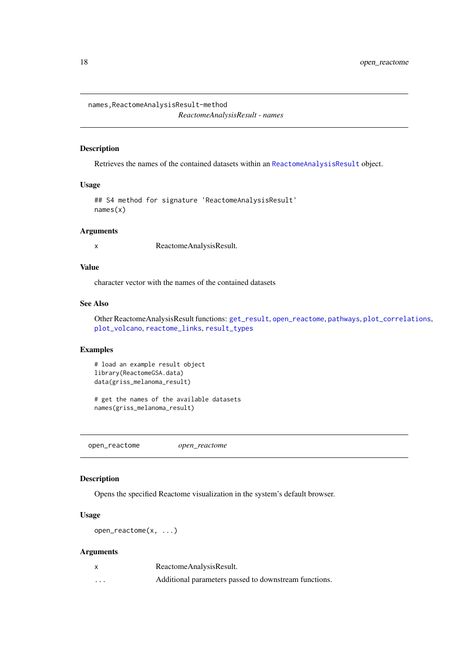<span id="page-17-0"></span>names,ReactomeAnalysisResult-method

*ReactomeAnalysisResult - names*

## Description

Retrieves the names of the contained datasets within an [ReactomeAnalysisResult](#page-27-1) object.

## Usage

```
## S4 method for signature 'ReactomeAnalysisResult'
names(x)
```
## Arguments

x ReactomeAnalysisResult.

## Value

character vector with the names of the contained datasets

## See Also

Other ReactomeAnalysisResult functions: [get\\_result](#page-15-1), [open\\_reactome](#page-17-1), [pathways](#page-19-1), [plot\\_correlations](#page-22-1), [plot\\_volcano](#page-23-1), [reactome\\_links](#page-28-1), [result\\_types](#page-31-1)

## Examples

```
# load an example result object
library(ReactomeGSA.data)
data(griss_melanoma_result)
```

```
# get the names of the available datasets
names(griss_melanoma_result)
```
<span id="page-17-1"></span>open\_reactome *open\_reactome*

#### Description

Opens the specified Reactome visualization in the system's default browser.

#### Usage

```
open_reactome(x, ...)
```
### Arguments

|          | ReactomeAnalysisResult.                               |
|----------|-------------------------------------------------------|
| $\cdots$ | Additional parameters passed to downstream functions. |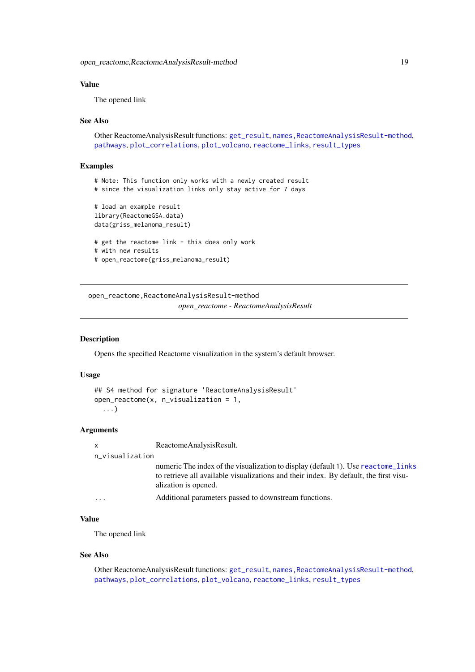#### <span id="page-18-0"></span>Value

The opened link

#### See Also

Other ReactomeAnalysisResult functions: [get\\_result](#page-15-1), [names,ReactomeAnalysisResult-method](#page-0-0), [pathways](#page-19-1), [plot\\_correlations](#page-22-1), [plot\\_volcano](#page-23-1), [reactome\\_links](#page-28-1), [result\\_types](#page-31-1)

## Examples

```
# Note: This function only works with a newly created result
# since the visualization links only stay active for 7 days
# load an example result
library(ReactomeGSA.data)
data(griss_melanoma_result)
# get the reactome link - this does only work
# with new results
# open_reactome(griss_melanoma_result)
```
open\_reactome,ReactomeAnalysisResult-method *open\_reactome - ReactomeAnalysisResult*

#### Description

Opens the specified Reactome visualization in the system's default browser.

#### Usage

```
## S4 method for signature 'ReactomeAnalysisResult'
open\_reactione(x, n_visualization = 1,
  ...)
```
#### Arguments

x ReactomeAnalysisResult.

#### n\_visualization

numeric The index of the visualization to display (default 1). Use [reactome\\_links](#page-28-1) to retrieve all available visualizations and their index. By default, the first visualization is opened.

```
... Additional parameters passed to downstream functions.
```
## Value

The opened link

## See Also

Other ReactomeAnalysisResult functions: [get\\_result](#page-15-1), [names,ReactomeAnalysisResult-method](#page-0-0), [pathways](#page-19-1), [plot\\_correlations](#page-22-1), [plot\\_volcano](#page-23-1), [reactome\\_links](#page-28-1), [result\\_types](#page-31-1)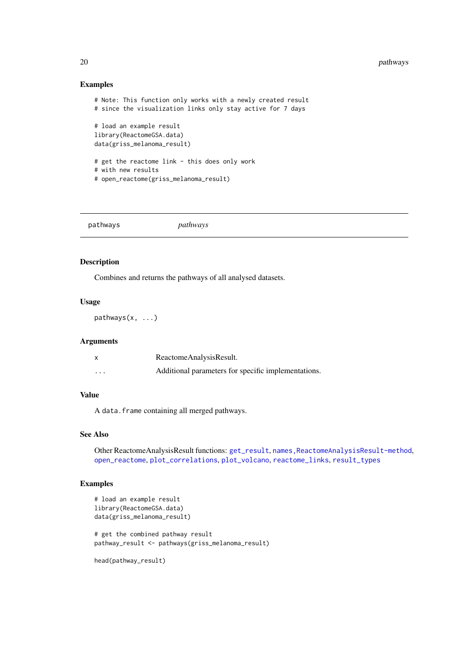## Examples

```
# Note: This function only works with a newly created result
# since the visualization links only stay active for 7 days
# load an example result
library(ReactomeGSA.data)
data(griss_melanoma_result)
# get the reactome link - this does only work
# with new results
# open_reactome(griss_melanoma_result)
```
<span id="page-19-1"></span>pathways *pathways*

## Description

Combines and returns the pathways of all analysed datasets.

## Usage

pathways(x, ...)

## Arguments

|          | ReactomeAnalysisResult.                             |
|----------|-----------------------------------------------------|
| $\cdots$ | Additional parameters for specific implementations. |

## Value

A data.frame containing all merged pathways.

## See Also

Other ReactomeAnalysisResult functions: [get\\_result](#page-15-1), [names,ReactomeAnalysisResult-method](#page-0-0), [open\\_reactome](#page-17-1), [plot\\_correlations](#page-22-1), [plot\\_volcano](#page-23-1), [reactome\\_links](#page-28-1), [result\\_types](#page-31-1)

## Examples

```
# load an example result
library(ReactomeGSA.data)
data(griss_melanoma_result)
# get the combined pathway result
pathway_result <- pathways(griss_melanoma_result)
```
head(pathway\_result)

<span id="page-19-0"></span>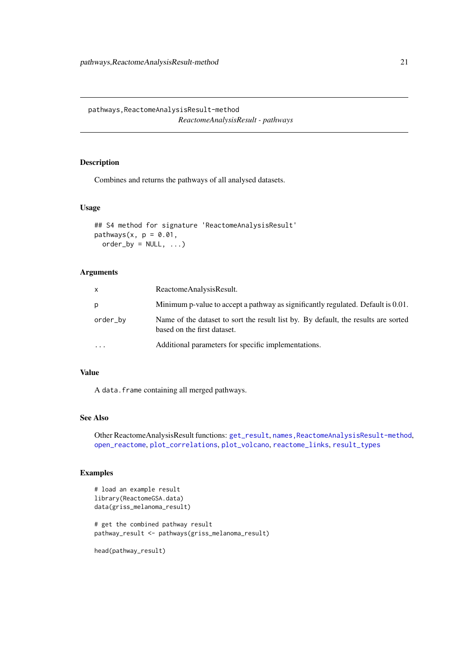<span id="page-20-0"></span>pathways,ReactomeAnalysisResult-method *ReactomeAnalysisResult - pathways*

## Description

Combines and returns the pathways of all analysed datasets.

## Usage

```
## S4 method for signature 'ReactomeAnalysisResult'
pathways(x, p = 0.01,
 order_by = NULL, ...)
```
## Arguments

| x         | ReactomeAnalysisResult.                                                                                           |
|-----------|-------------------------------------------------------------------------------------------------------------------|
| р         | Minimum p-value to accept a pathway as significantly regulated. Default is 0.01.                                  |
| order_by  | Name of the dataset to sort the result list by. By default, the results are sorted<br>based on the first dataset. |
| $\ddotsc$ | Additional parameters for specific implementations.                                                               |

## Value

A data.frame containing all merged pathways.

## See Also

```
Other ReactomeAnalysisResult functions: get_result, names,ReactomeAnalysisResult-method,
open_reactome, plot_correlations, plot_volcano, reactome_links, result_types
```
## Examples

```
# load an example result
library(ReactomeGSA.data)
data(griss_melanoma_result)
```
# get the combined pathway result pathway\_result <- pathways(griss\_melanoma\_result)

head(pathway\_result)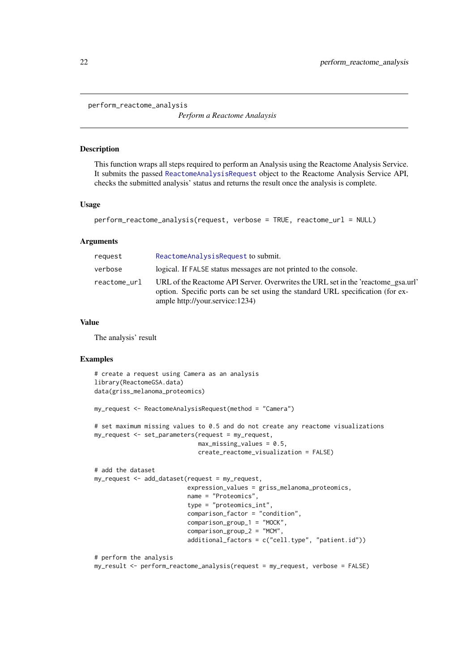<span id="page-21-1"></span><span id="page-21-0"></span>perform\_reactome\_analysis

*Perform a Reactome Analaysis*

#### Description

This function wraps all steps required to perform an Analysis using the Reactome Analysis Service. It submits the passed [ReactomeAnalysisRequest](#page-26-1) object to the Reactome Analysis Service API, checks the submitted analysis' status and returns the result once the analysis is complete.

## Usage

```
perform_reactome_analysis(request, verbose = TRUE, reactome_url = NULL)
```
#### Arguments

| request      | ReactomeAnalysisRequest to submit.                                                                                                                                                                     |
|--------------|--------------------------------------------------------------------------------------------------------------------------------------------------------------------------------------------------------|
| verbose      | logical. If FALSE status messages are not printed to the console.                                                                                                                                      |
| reactome_url | URL of the Reactome API Server. Overwrites the URL set in the 'reactome_gsa.url'<br>option. Specific ports can be set using the standard URL specification (for ex-<br>ample http://your.service:1234) |

#### Value

The analysis' result

#### Examples

```
# create a request using Camera as an analysis
library(ReactomeGSA.data)
data(griss_melanoma_proteomics)
my_request <- ReactomeAnalysisRequest(method = "Camera")
# set maximum missing values to 0.5 and do not create any reactome visualizations
my_request <- set_parameters(request = my_request,
                             max\_missing\_values = 0.5,
                             create_reactome_visualization = FALSE)
# add the dataset
my_request <- add_dataset(request = my_request,
                          expression_values = griss_melanoma_proteomics,
                          name = "Proteomics",
                          type = "proteomics_int",
                          comparison_factor = "condition",
                          comparison_group_1 = "MOCK",
                          comparison_group_2 = "MCM",
                          additional_factors = c("cell.type", "patient.id"))
# perform the analysis
my_result <- perform_reactome_analysis(request = my_request, verbose = FALSE)
```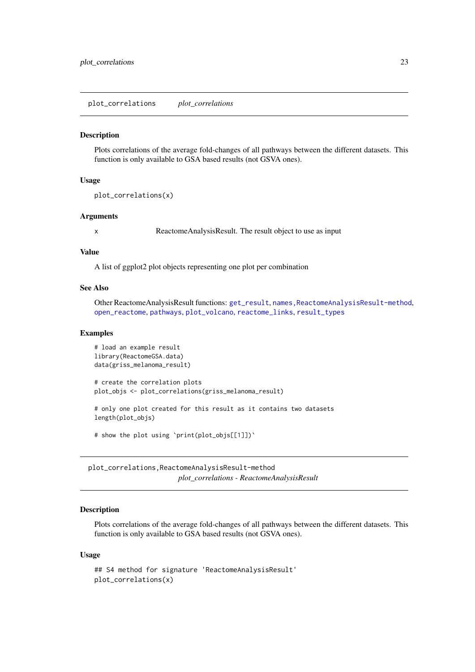<span id="page-22-1"></span><span id="page-22-0"></span>plot\_correlations *plot\_correlations*

## Description

Plots correlations of the average fold-changes of all pathways between the different datasets. This function is only available to GSA based results (not GSVA ones).

#### Usage

```
plot_correlations(x)
```
#### Arguments

x ReactomeAnalysisResult. The result object to use as input

#### Value

A list of ggplot2 plot objects representing one plot per combination

## See Also

Other ReactomeAnalysisResult functions: [get\\_result](#page-15-1), [names,ReactomeAnalysisResult-method](#page-0-0), [open\\_reactome](#page-17-1), [pathways](#page-19-1), [plot\\_volcano](#page-23-1), [reactome\\_links](#page-28-1), [result\\_types](#page-31-1)

#### Examples

```
# load an example result
library(ReactomeGSA.data)
data(griss_melanoma_result)
# create the correlation plots
plot_objs <- plot_correlations(griss_melanoma_result)
# only one plot created for this result as it contains two datasets
length(plot_objs)
# show the plot using `print(plot_objs[[1]])`
```
plot\_correlations,ReactomeAnalysisResult-method *plot\_correlations - ReactomeAnalysisResult*

#### Description

Plots correlations of the average fold-changes of all pathways between the different datasets. This function is only available to GSA based results (not GSVA ones).

#### Usage

```
## S4 method for signature 'ReactomeAnalysisResult'
plot_correlations(x)
```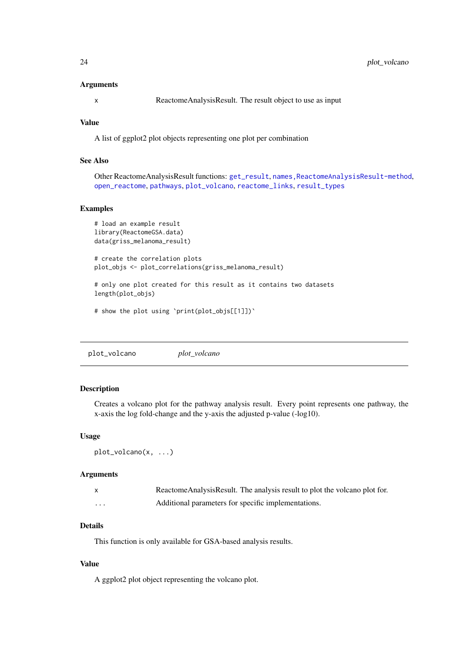## Arguments

x ReactomeAnalysisResult. The result object to use as input

#### Value

A list of ggplot2 plot objects representing one plot per combination

## See Also

Other ReactomeAnalysisResult functions: [get\\_result](#page-15-1), [names,ReactomeAnalysisResult-method](#page-0-0), [open\\_reactome](#page-17-1), [pathways](#page-19-1), [plot\\_volcano](#page-23-1), [reactome\\_links](#page-28-1), [result\\_types](#page-31-1)

## Examples

```
# load an example result
library(ReactomeGSA.data)
data(griss_melanoma_result)
# create the correlation plots
plot_objs <- plot_correlations(griss_melanoma_result)
# only one plot created for this result as it contains two datasets
```
length(plot\_obis)

# show the plot using `print(plot\_objs[[1]])`

```
plot_volcano plot_volcano
```
## Description

Creates a volcano plot for the pathway analysis result. Every point represents one pathway, the x-axis the log fold-change and the y-axis the adjusted p-value (-log10).

### Usage

```
plot_volcano(x, ...)
```
#### Arguments

|          | ReactomeAnalysisResult. The analysis result to plot the volcano plot for. |
|----------|---------------------------------------------------------------------------|
| $\cdots$ | Additional parameters for specific implementations.                       |

#### Details

This function is only available for GSA-based analysis results.

## Value

A ggplot2 plot object representing the volcano plot.

<span id="page-23-0"></span>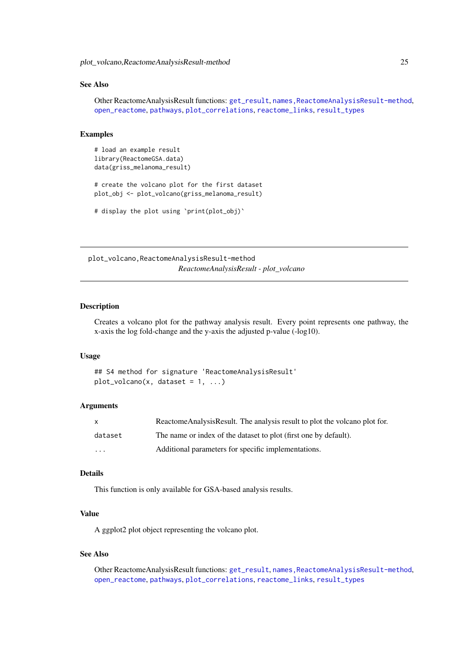<span id="page-24-0"></span>plot\_volcano,ReactomeAnalysisResult-method 25

#### See Also

Other ReactomeAnalysisResult functions: [get\\_result](#page-15-1), [names,ReactomeAnalysisResult-method](#page-0-0), [open\\_reactome](#page-17-1), [pathways](#page-19-1), [plot\\_correlations](#page-22-1), [reactome\\_links](#page-28-1), [result\\_types](#page-31-1)

## Examples

```
# load an example result
library(ReactomeGSA.data)
data(griss_melanoma_result)
# create the volcano plot for the first dataset
plot_obj <- plot_volcano(griss_melanoma_result)
```

```
# display the plot using `print(plot_obj)`
```
plot\_volcano,ReactomeAnalysisResult-method *ReactomeAnalysisResult - plot\_volcano*

#### Description

Creates a volcano plot for the pathway analysis result. Every point represents one pathway, the x-axis the log fold-change and the y-axis the adjusted p-value (-log10).

#### Usage

```
## S4 method for signature 'ReactomeAnalysisResult'
plot\_volcano(x, dataset = 1, ...)
```
## Arguments

| X        | Reactome Analysis Result. The analysis result to plot the volcano plot for. |
|----------|-----------------------------------------------------------------------------|
| dataset  | The name or index of the dataset to plot (first one by default).            |
| $\cdots$ | Additional parameters for specific implementations.                         |

## Details

This function is only available for GSA-based analysis results.

#### Value

A ggplot2 plot object representing the volcano plot.

## See Also

Other ReactomeAnalysisResult functions: [get\\_result](#page-15-1), [names,ReactomeAnalysisResult-method](#page-0-0), [open\\_reactome](#page-17-1), [pathways](#page-19-1), [plot\\_correlations](#page-22-1), [reactome\\_links](#page-28-1), [result\\_types](#page-31-1)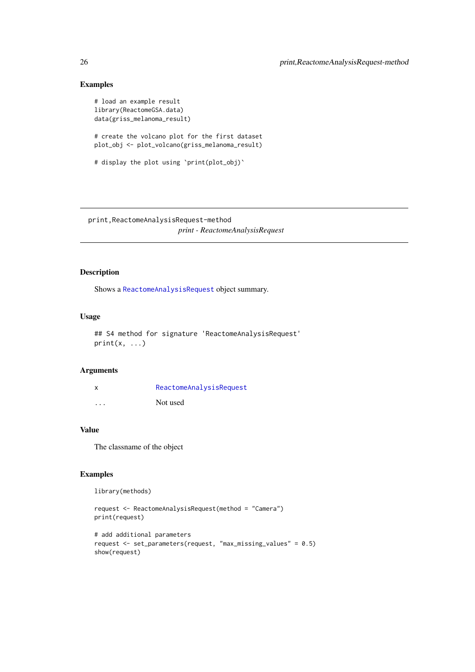## Examples

```
# load an example result
library(ReactomeGSA.data)
data(griss_melanoma_result)
# create the volcano plot for the first dataset
plot_obj <- plot_volcano(griss_melanoma_result)
# display the plot using `print(plot_obj)`
```
print,ReactomeAnalysisRequest-method *print - ReactomeAnalysisRequest*

## Description

Shows a [ReactomeAnalysisRequest](#page-26-1) object summary.

## Usage

```
## S4 method for signature 'ReactomeAnalysisRequest'
print(x, \ldots)
```
## Arguments

| X        | ReactomeAnalysisRequest |
|----------|-------------------------|
| $\cdots$ | Not used                |

#### Value

The classname of the object

#### Examples

library(methods)

```
request <- ReactomeAnalysisRequest(method = "Camera")
print(request)
```

```
# add additional parameters
request <- set_parameters(request, "max_missing_values" = 0.5)
show(request)
```
<span id="page-25-0"></span>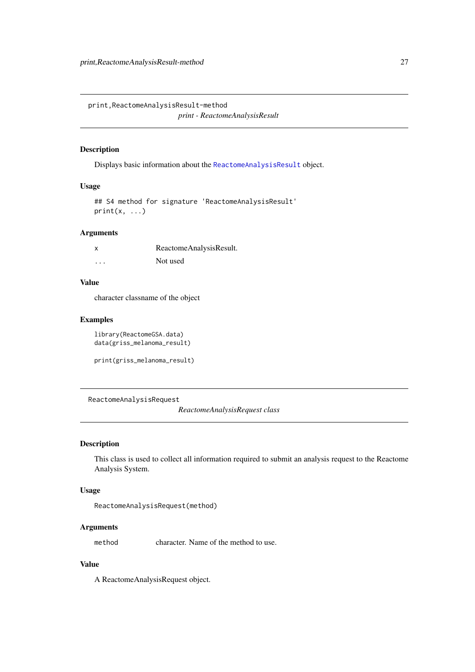<span id="page-26-0"></span>print,ReactomeAnalysisResult-method

*print - ReactomeAnalysisResult*

## Description

Displays basic information about the [ReactomeAnalysisResult](#page-27-1) object.

## Usage

```
## S4 method for signature 'ReactomeAnalysisResult'
print(x, \ldots)
```
## Arguments

|          | ReactomeAnalysisResult. |
|----------|-------------------------|
| $\cdots$ | Not used                |

## Value

character classname of the object

## Examples

```
library(ReactomeGSA.data)
data(griss_melanoma_result)
```

```
print(griss_melanoma_result)
```
<span id="page-26-1"></span>ReactomeAnalysisRequest

*ReactomeAnalysisRequest class*

## Description

This class is used to collect all information required to submit an analysis request to the Reactome Analysis System.

## Usage

```
ReactomeAnalysisRequest(method)
```
## Arguments

method character. Name of the method to use.

## Value

A ReactomeAnalysisRequest object.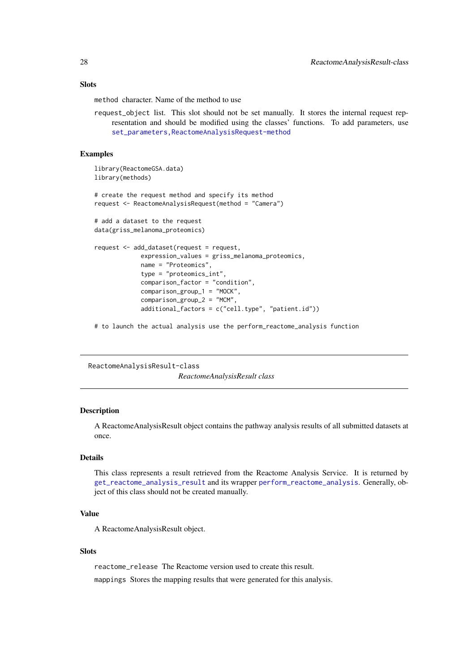#### <span id="page-27-0"></span>Slots

method character. Name of the method to use

request\_object list. This slot should not be set manually. It stores the internal request representation and should be modified using the classes' functions. To add parameters, use [set\\_parameters,ReactomeAnalysisRequest-method](#page-0-0)

#### Examples

```
library(ReactomeGSA.data)
library(methods)
# create the request method and specify its method
request <- ReactomeAnalysisRequest(method = "Camera")
# add a dataset to the request
data(griss_melanoma_proteomics)
request <- add_dataset(request = request,
             expression_values = griss_melanoma_proteomics,
             name = "Proteomics",
             type = "proteomics_int",
             comparison_factor = "condition",
             comparison_group_1 = "MOCK",
             comparison_group_2 = "MCM",
             additional_factors = c("cell.type", "patient.id"))
```
# to launch the actual analysis use the perform\_reactome\_analysis function

ReactomeAnalysisResult-class *ReactomeAnalysisResult class*

#### <span id="page-27-1"></span>Description

A ReactomeAnalysisResult object contains the pathway analysis results of all submitted datasets at once.

## Details

This class represents a result retrieved from the Reactome Analysis Service. It is returned by [get\\_reactome\\_analysis\\_result](#page-12-2) and its wrapper [perform\\_reactome\\_analysis](#page-21-1). Generally, object of this class should not be created manually.

## Value

A ReactomeAnalysisResult object.

#### Slots

reactome\_release The Reactome version used to create this result.

mappings Stores the mapping results that were generated for this analysis.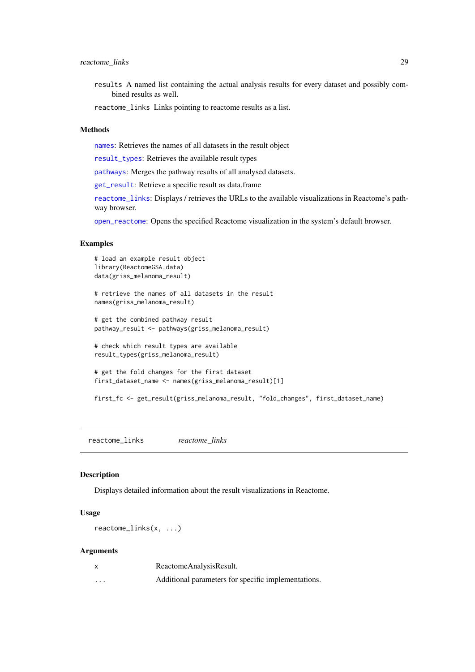- <span id="page-28-0"></span>results A named list containing the actual analysis results for every dataset and possibly combined results as well.
- reactome\_links Links pointing to reactome results as a list.

## Methods

[names](#page-0-0): Retrieves the names of all datasets in the result object

[result\\_types](#page-31-1): Retrieves the available result types

[pathways](#page-19-1): Merges the pathway results of all analysed datasets.

[get\\_result](#page-15-1): Retrieve a specific result as data.frame

[reactome\\_links](#page-28-1): Displays / retrieves the URLs to the available visualizations in Reactome's pathway browser.

[open\\_reactome](#page-17-1): Opens the specified Reactome visualization in the system's default browser.

#### Examples

```
# load an example result object
library(ReactomeGSA.data)
data(griss_melanoma_result)
# retrieve the names of all datasets in the result
names(griss_melanoma_result)
# get the combined pathway result
pathway_result <- pathways(griss_melanoma_result)
# check which result types are available
result_types(griss_melanoma_result)
# get the fold changes for the first dataset
first_dataset_name <- names(griss_melanoma_result)[1]
```
first\_fc <- get\_result(griss\_melanoma\_result, "fold\_changes", first\_dataset\_name)

<span id="page-28-1"></span>reactome\_links *reactome\_links*

#### Description

Displays detailed information about the result visualizations in Reactome.

#### Usage

reactome\_links(x, ...)

#### Arguments

|          | ReactomeAnalysisResult.                             |
|----------|-----------------------------------------------------|
| $\cdots$ | Additional parameters for specific implementations. |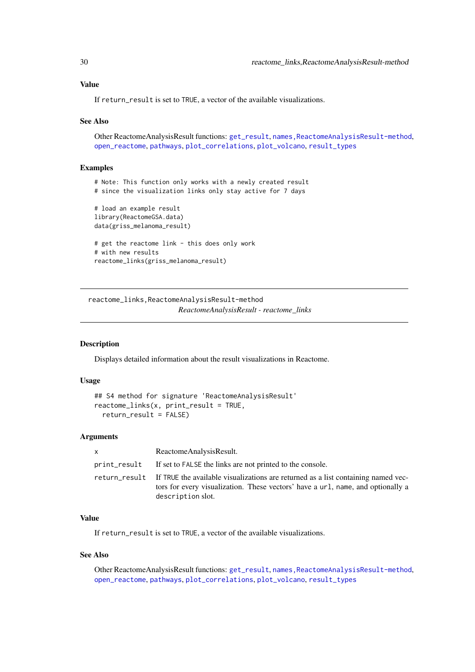#### <span id="page-29-0"></span>Value

If return\_result is set to TRUE, a vector of the available visualizations.

## See Also

Other ReactomeAnalysisResult functions: [get\\_result](#page-15-1), [names,ReactomeAnalysisResult-method](#page-0-0), [open\\_reactome](#page-17-1), [pathways](#page-19-1), [plot\\_correlations](#page-22-1), [plot\\_volcano](#page-23-1), [result\\_types](#page-31-1)

#### Examples

```
# Note: This function only works with a newly created result
# since the visualization links only stay active for 7 days
# load an example result
library(ReactomeGSA.data)
data(griss_melanoma_result)
# get the reactome link - this does only work
# with new results
reactome_links(griss_melanoma_result)
```
reactome\_links,ReactomeAnalysisResult-method *ReactomeAnalysisResult - reactome\_links*

## Description

Displays detailed information about the result visualizations in Reactome.

## Usage

```
## S4 method for signature 'ReactomeAnalysisResult'
reactome_links(x, print_result = TRUE,
  return_result = FALSE)
```
#### Arguments

| $\times$ | ReactomeAnalysisResult.                                                                                                                                                                                 |
|----------|---------------------------------------------------------------------------------------------------------------------------------------------------------------------------------------------------------|
|          | print_result If set to FALSE the links are not printed to the console.                                                                                                                                  |
|          | return result If TRUE the available visualizations are returned as a list containing named vec-<br>tors for every visualization. These vectors' have a url, name, and optionally a<br>description slot. |

## Value

If return result is set to TRUE, a vector of the available visualizations.

## See Also

Other ReactomeAnalysisResult functions: [get\\_result](#page-15-1), [names,ReactomeAnalysisResult-method](#page-0-0), [open\\_reactome](#page-17-1), [pathways](#page-19-1), [plot\\_correlations](#page-22-1), [plot\\_volcano](#page-23-1), [result\\_types](#page-31-1)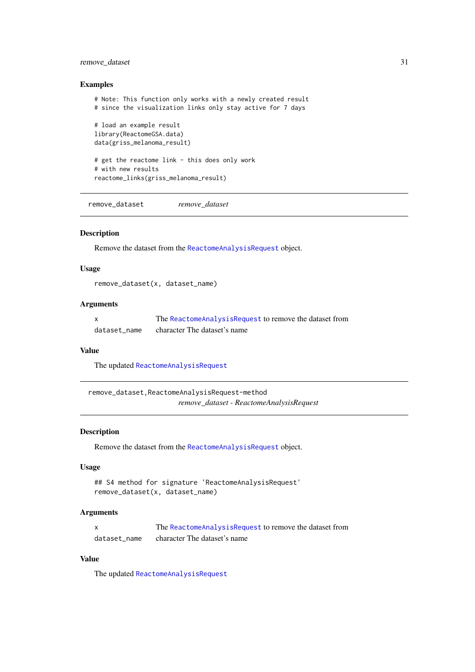#### <span id="page-30-0"></span>remove\_dataset 31

## Examples

```
# Note: This function only works with a newly created result
# since the visualization links only stay active for 7 days
# load an example result
library(ReactomeGSA.data)
data(griss_melanoma_result)
# get the reactome link - this does only work
# with new results
reactome_links(griss_melanoma_result)
```
remove\_dataset *remove\_dataset*

## Description

Remove the dataset from the [ReactomeAnalysisRequest](#page-26-1) object.

## Usage

remove\_dataset(x, dataset\_name)

#### Arguments

|              | The Reactome Analysis Request to remove the dataset from |
|--------------|----------------------------------------------------------|
| dataset name | character The dataset's name                             |

## Value

The updated [ReactomeAnalysisRequest](#page-26-1)

remove\_dataset,ReactomeAnalysisRequest-method *remove\_dataset - ReactomeAnalysisRequest*

## Description

Remove the dataset from the [ReactomeAnalysisRequest](#page-26-1) object.

## Usage

```
## S4 method for signature 'ReactomeAnalysisRequest'
remove_dataset(x, dataset_name)
```
## Arguments

| X            | The ReactomeAnalysisRequest to remove the dataset from |
|--------------|--------------------------------------------------------|
| dataset name | character The dataset's name                           |

## Value

The updated [ReactomeAnalysisRequest](#page-26-1)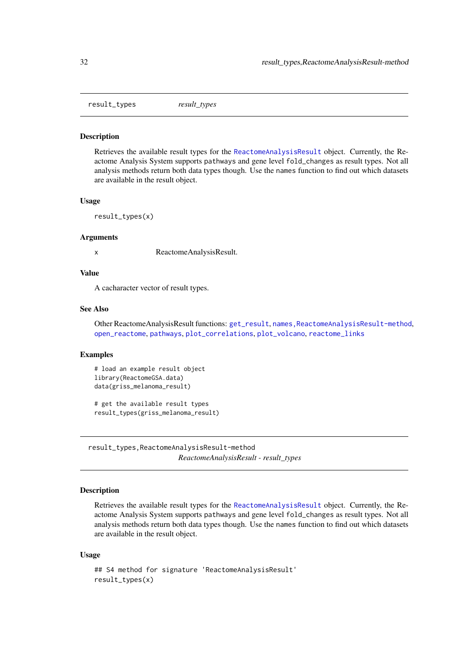<span id="page-31-1"></span><span id="page-31-0"></span>result\_types *result\_types*

#### Description

Retrieves the available result types for the [ReactomeAnalysisResult](#page-27-1) object. Currently, the Reactome Analysis System supports pathways and gene level fold\_changes as result types. Not all analysis methods return both data types though. Use the names function to find out which datasets are available in the result object.

#### Usage

result\_types(x)

#### Arguments

x ReactomeAnalysisResult.

#### Value

A cacharacter vector of result types.

#### See Also

Other ReactomeAnalysisResult functions: [get\\_result](#page-15-1), [names,ReactomeAnalysisResult-method](#page-0-0), [open\\_reactome](#page-17-1), [pathways](#page-19-1), [plot\\_correlations](#page-22-1), [plot\\_volcano](#page-23-1), [reactome\\_links](#page-28-1)

## Examples

```
# load an example result object
library(ReactomeGSA.data)
data(griss_melanoma_result)
```
# get the available result types result\_types(griss\_melanoma\_result)

result\_types,ReactomeAnalysisResult-method *ReactomeAnalysisResult - result\_types*

## Description

Retrieves the available result types for the [ReactomeAnalysisResult](#page-27-1) object. Currently, the Reactome Analysis System supports pathways and gene level fold\_changes as result types. Not all analysis methods return both data types though. Use the names function to find out which datasets are available in the result object.

## Usage

```
## S4 method for signature 'ReactomeAnalysisResult'
result_types(x)
```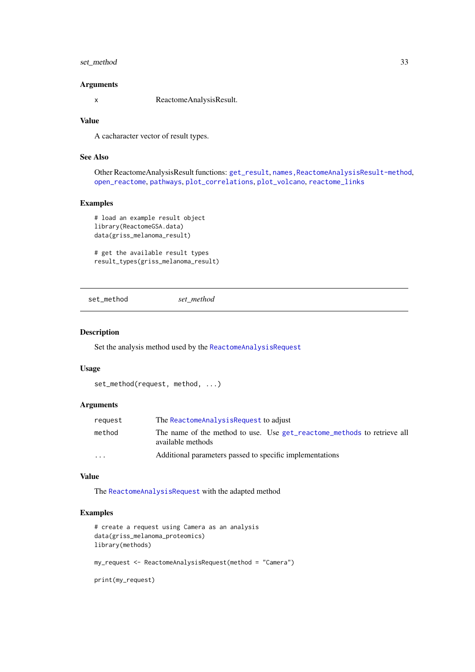#### <span id="page-32-0"></span>set\_method 33

## Arguments

x ReactomeAnalysisResult.

## Value

A cacharacter vector of result types.

## See Also

Other ReactomeAnalysisResult functions: [get\\_result](#page-15-1), [names,ReactomeAnalysisResult-method](#page-0-0), [open\\_reactome](#page-17-1), [pathways](#page-19-1), [plot\\_correlations](#page-22-1), [plot\\_volcano](#page-23-1), [reactome\\_links](#page-28-1)

## Examples

```
# load an example result object
library(ReactomeGSA.data)
data(griss_melanoma_result)
```
# get the available result types result\_types(griss\_melanoma\_result)

set\_method *set\_method*

#### Description

Set the analysis method used by the [ReactomeAnalysisRequest](#page-26-1)

#### Usage

```
set_method(request, method, ...)
```
## Arguments

| reauest                 | The Reactome Analysis Request to adjust                                                      |
|-------------------------|----------------------------------------------------------------------------------------------|
| method                  | The name of the method to use. Use get_reactome_methods to retrieve all<br>available methods |
| $\cdot$ $\cdot$ $\cdot$ | Additional parameters passed to specific implementations                                     |

## Value

The [ReactomeAnalysisRequest](#page-26-1) with the adapted method

## Examples

```
# create a request using Camera as an analysis
data(griss_melanoma_proteomics)
library(methods)
my_request <- ReactomeAnalysisRequest(method = "Camera")
```
print(my\_request)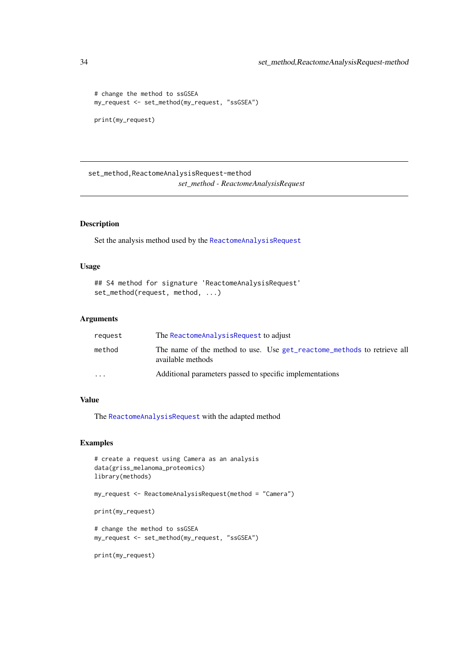```
# change the method to ssGSEA
my_request <- set_method(my_request, "ssGSEA")
print(my_request)
```
set\_method,ReactomeAnalysisRequest-method *set\_method - ReactomeAnalysisRequest*

## Description

Set the analysis method used by the [ReactomeAnalysisRequest](#page-26-1)

## Usage

```
## S4 method for signature 'ReactomeAnalysisRequest'
set_method(request, method, ...)
```
## Arguments

| request                 | The ReactomeAnalysisRequest to adjust                                                        |
|-------------------------|----------------------------------------------------------------------------------------------|
| method                  | The name of the method to use. Use get_reactome_methods to retrieve all<br>available methods |
| $\cdot$ $\cdot$ $\cdot$ | Additional parameters passed to specific implementations                                     |

## Value

The [ReactomeAnalysisRequest](#page-26-1) with the adapted method

## Examples

```
# create a request using Camera as an analysis
data(griss_melanoma_proteomics)
library(methods)
```
my\_request <- ReactomeAnalysisRequest(method = "Camera")

```
print(my_request)
```
# change the method to ssGSEA my\_request <- set\_method(my\_request, "ssGSEA")

print(my\_request)

<span id="page-33-0"></span>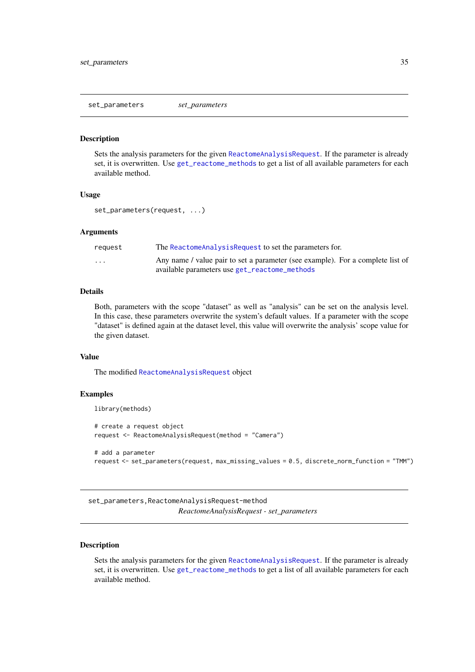<span id="page-34-1"></span><span id="page-34-0"></span>set\_parameters *set\_parameters*

#### **Description**

Sets the analysis parameters for the given [ReactomeAnalysisRequest](#page-26-1). If the parameter is already set, it is overwritten. Use [get\\_reactome\\_methods](#page-14-1) to get a list of all available parameters for each available method.

#### Usage

set\_parameters(request, ...)

## Arguments

| reauest                 | The Reactome Analysis Request to set the parameters for.                       |
|-------------------------|--------------------------------------------------------------------------------|
| $\cdot$ $\cdot$ $\cdot$ | Any name / value pair to set a parameter (see example). For a complete list of |
|                         | available parameters use get_reactome_methods                                  |

#### Details

Both, parameters with the scope "dataset" as well as "analysis" can be set on the analysis level. In this case, these parameters overwrite the system's default values. If a parameter with the scope "dataset" is defined again at the dataset level, this value will overwrite the analysis' scope value for the given dataset.

## Value

The modified [ReactomeAnalysisRequest](#page-26-1) object

#### Examples

```
library(methods)
# create a request object
request <- ReactomeAnalysisRequest(method = "Camera")
# add a parameter
request <- set_parameters(request, max_missing_values = 0.5, discrete_norm_function = "TMM")
```
set\_parameters,ReactomeAnalysisRequest-method *ReactomeAnalysisRequest - set\_parameters*

## Description

Sets the analysis parameters for the given [ReactomeAnalysisRequest](#page-26-1). If the parameter is already set, it is overwritten. Use [get\\_reactome\\_methods](#page-14-1) to get a list of all available parameters for each available method.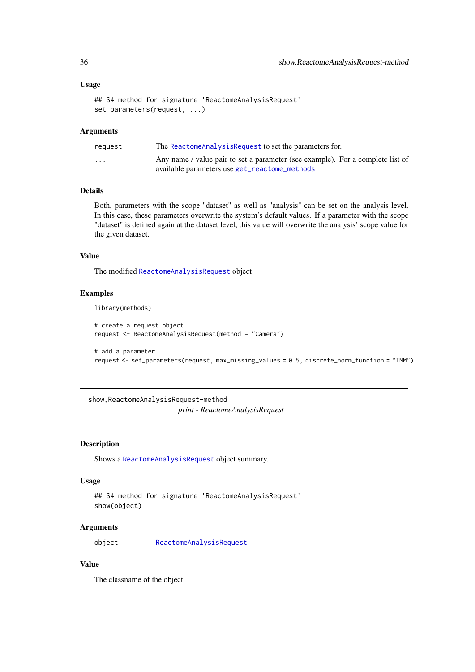#### Usage

```
## S4 method for signature 'ReactomeAnalysisRequest'
set_parameters(request, ...)
```
## Arguments

| reauest                 | The Reactome Analysis Request to set the parameters for.                                                                        |
|-------------------------|---------------------------------------------------------------------------------------------------------------------------------|
| $\cdot$ $\cdot$ $\cdot$ | Any name / value pair to set a parameter (see example). For a complete list of<br>available parameters use get_reactome_methods |

## Details

Both, parameters with the scope "dataset" as well as "analysis" can be set on the analysis level. In this case, these parameters overwrite the system's default values. If a parameter with the scope "dataset" is defined again at the dataset level, this value will overwrite the analysis' scope value for the given dataset.

## Value

The modified [ReactomeAnalysisRequest](#page-26-1) object

## Examples

library(methods)

```
# create a request object
request <- ReactomeAnalysisRequest(method = "Camera")
```

```
# add a parameter
request <- set_parameters(request, max_missing_values = 0.5, discrete_norm_function = "TMM")
```
show,ReactomeAnalysisRequest-method *print - ReactomeAnalysisRequest*

## Description

Shows a [ReactomeAnalysisRequest](#page-26-1) object summary.

#### Usage

```
## S4 method for signature 'ReactomeAnalysisRequest'
show(object)
```
## Arguments

object [ReactomeAnalysisRequest](#page-26-1)

## Value

The classname of the object

<span id="page-35-0"></span>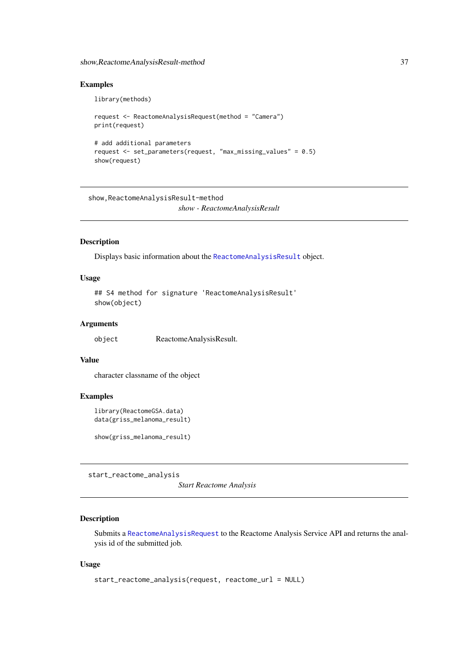#### <span id="page-36-0"></span>show,ReactomeAnalysisResult-method 37

## Examples

```
library(methods)
request <- ReactomeAnalysisRequest(method = "Camera")
print(request)
# add additional parameters
request <- set_parameters(request, "max_missing_values" = 0.5)
show(request)
```
show,ReactomeAnalysisResult-method *show - ReactomeAnalysisResult*

#### Description

Displays basic information about the [ReactomeAnalysisResult](#page-27-1) object.

## Usage

```
## S4 method for signature 'ReactomeAnalysisResult'
show(object)
```
#### Arguments

object ReactomeAnalysisResult.

#### Value

character classname of the object

## Examples

```
library(ReactomeGSA.data)
data(griss_melanoma_result)
```
show(griss\_melanoma\_result)

<span id="page-36-1"></span>start\_reactome\_analysis

*Start Reactome Analysis*

## Description

Submits a [ReactomeAnalysisRequest](#page-26-1) to the Reactome Analysis Service API and returns the analysis id of the submitted job.

## Usage

```
start_reactome_analysis(request, reactome_url = NULL)
```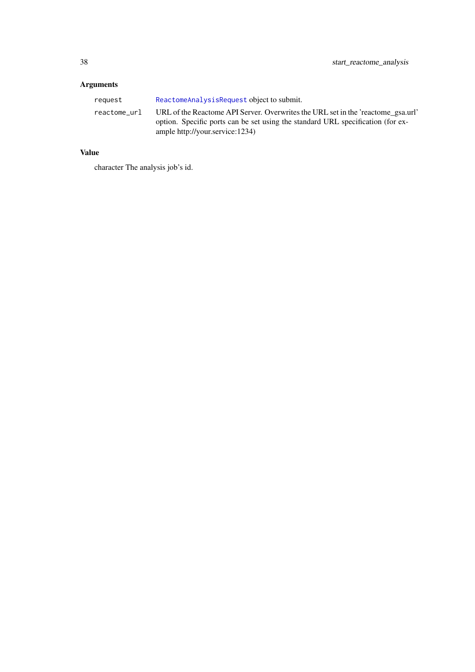## <span id="page-37-0"></span>Arguments

| reauest      | ReactomeAnalysisRequest object to submit.                                                                                                                                                              |
|--------------|--------------------------------------------------------------------------------------------------------------------------------------------------------------------------------------------------------|
| reactome url | URL of the Reactome API Server. Overwrites the URL set in the 'reactome gsa.url'<br>option. Specific ports can be set using the standard URL specification (for ex-<br>ample http://your.service:1234) |

## Value

character The analysis job's id.